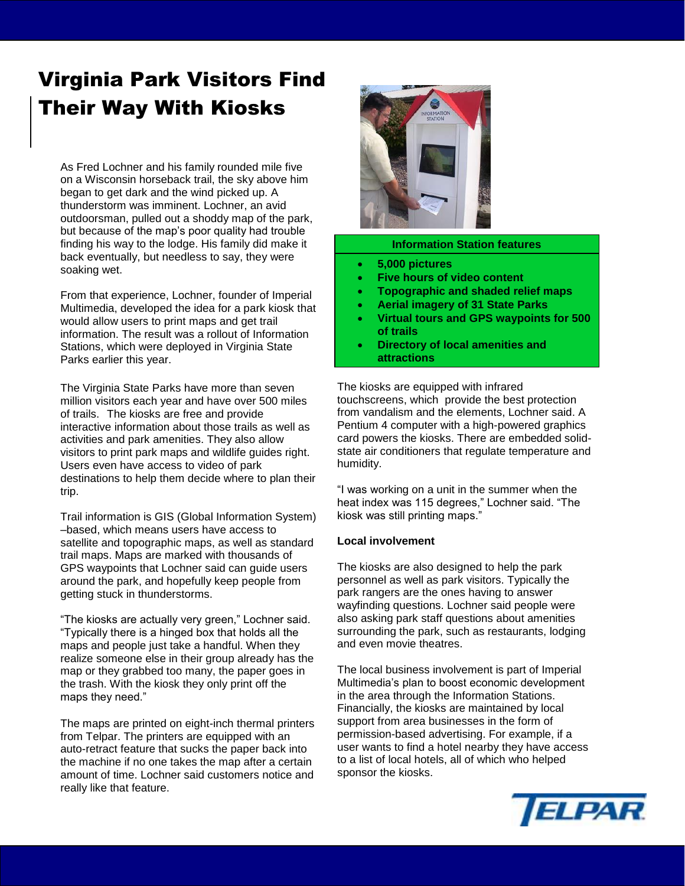# Virginia Park Visitors Find Their Way With Kiosks

As Fred Lochner and his family rounded mile five on a Wisconsin horseback trail, the sky above him began to get dark and the wind picked up. A thunderstorm was imminent. Lochner, an avid outdoorsman, pulled out a shoddy map of the park, but because of the map's poor quality had trouble finding his way to the lodge. His family did make it back eventually, but needless to say, they were soaking wet.

From that experience, Lochner, founder of Imperial Multimedia, developed the idea for a park kiosk that would allow users to print maps and get trail information. The result was a rollout of Information Stations, which were deployed in Virginia State Parks earlier this year.

The Virginia State Parks have more than seven million visitors each year and have over 500 miles of trails. The kiosks are free and provide interactive information about those trails as well as activities and park amenities. They also allow visitors to print park maps and wildlife guides right. Users even have access to video of park destinations to help them decide where to plan their trip.

Trail information is GIS (Global Information System) –based, which means users have access to satellite and topographic maps, as well as standard trail maps. Maps are marked with thousands of GPS waypoints that Lochner said can guide users around the park, and hopefully keep people from getting stuck in thunderstorms.

"The kiosks are actually very green," Lochner said. "Typically there is a hinged box that holds all the maps and people just take a handful. When they realize someone else in their group already has the map or they grabbed too many, the paper goes in the trash. With the kiosk they only print off the maps they need."

The maps are printed on eight-inch thermal printers from Telpar. The printers are equipped with an auto-retract feature that sucks the paper back into the machine if no one takes the map after a certain amount of time. Lochner said customers notice and really like that feature.



#### **Information Station features**

- **5,000 pictures**
- **Five hours of video content**
- **Topographic and shaded relief maps**
- **Aerial imagery of 31 State Parks**
- **Virtual tours and GPS waypoints for 500 of trails**
- **Directory of local amenities and attractions**

The kiosks are equipped with infrared touchscreens, which provide the best protection from vandalism and the elements, Lochner said. A Pentium 4 computer with a high-powered graphics card powers the kiosks. There are embedded solidstate air conditioners that regulate temperature and humidity.

"I was working on a unit in the summer when the heat index was 115 degrees," Lochner said. "The kiosk was still printing maps."

#### **Local involvement**

The kiosks are also designed to help the park personnel as well as park visitors. Typically the park rangers are the ones having to answer wayfinding questions. Lochner said people were also asking park staff questions about amenities surrounding the park, such as restaurants, lodging and even movie theatres.

The local business involvement is part of Imperial Multimedia's plan to boost economic development in the area through the Information Stations. Financially, the kiosks are maintained by local support from area businesses in the form of permission-based advertising. For example, if a user wants to find a hotel nearby they have access to a list of local hotels, all of which who helped sponsor the kiosks.